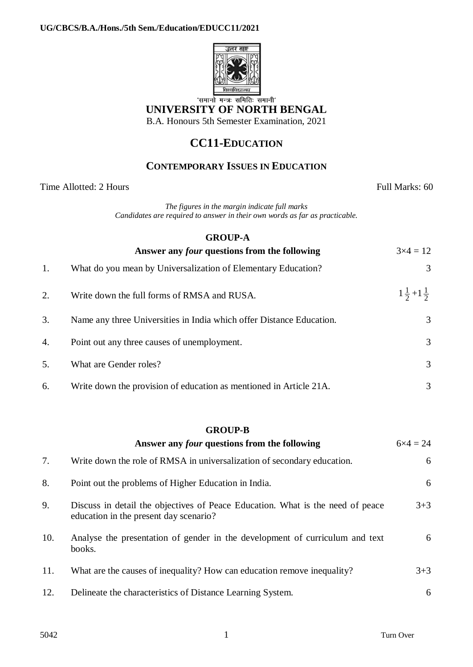

'समानो मन्त्रः समितिः समानी' **UNIVERSITY OF NORTH BENGAL** B.A. Honours 5th Semester Examination, 2021

## **CC11-EDUCATION**

## **CONTEMPORARY ISSUES IN EDUCATION**

Time Allotted: 2 Hours Full Marks: 60

*The figures in the margin indicate full marks Candidates are required to answer in their own words as far as practicable.*

|    | <b>GROUP-A</b>                                                       |                             |  |  |  |
|----|----------------------------------------------------------------------|-----------------------------|--|--|--|
|    | Answer any <i>four</i> questions from the following                  | $3 \times 4 = 12$           |  |  |  |
| 1. | What do you mean by Universalization of Elementary Education?        | 3                           |  |  |  |
| 2. | Write down the full forms of RMSA and RUSA.                          | $1\frac{1}{2}+1\frac{1}{2}$ |  |  |  |
| 3. | Name any three Universities in India which offer Distance Education. | 3                           |  |  |  |
| 4. | Point out any three causes of unemployment.                          | 3                           |  |  |  |
| 5. | What are Gender roles?                                               | 3                           |  |  |  |
| 6. | Write down the provision of education as mentioned in Article 21A.   | 3                           |  |  |  |

## **GROUP-B**

|     | Answer any <i>four</i> questions from the following                                                                      | $6x4 = 24$ |
|-----|--------------------------------------------------------------------------------------------------------------------------|------------|
| 7.  | Write down the role of RMSA in universalization of secondary education.                                                  | 6          |
| 8.  | Point out the problems of Higher Education in India.                                                                     | 6          |
| 9.  | Discuss in detail the objectives of Peace Education. What is the need of peace<br>education in the present day scenario? | $3 + 3$    |
| 10. | Analyse the presentation of gender in the development of curriculum and text<br>books.                                   | 6          |
| 11. | What are the causes of inequality? How can education remove inequality?                                                  | $3 + 3$    |
| 12. | Delineate the characteristics of Distance Learning System.                                                               | 6          |